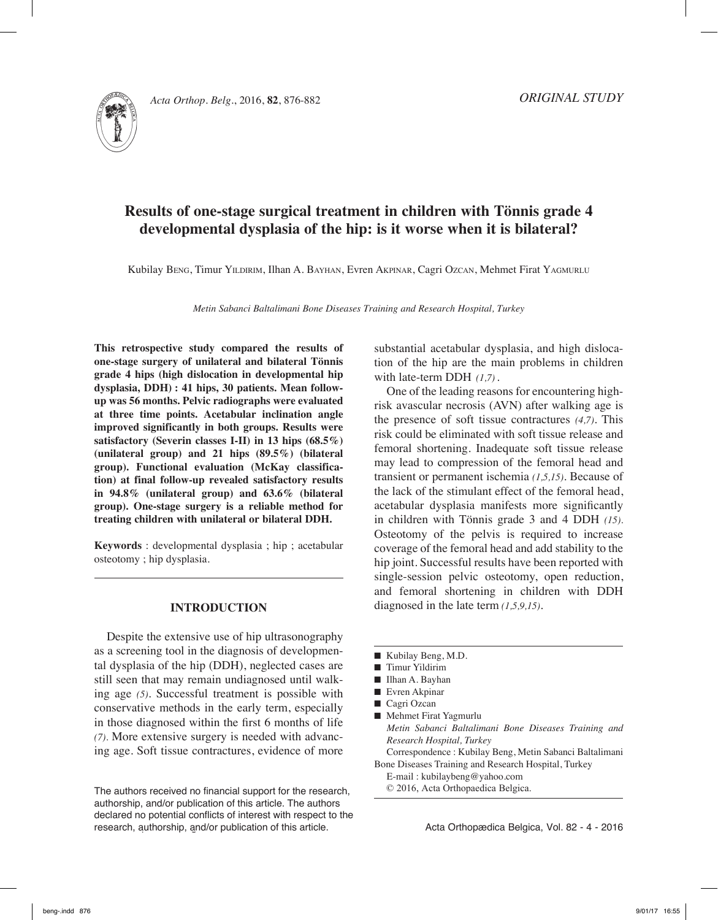

# **Results of one-stage surgical treatment in children with Tönnis grade 4 developmental dysplasia of the hip: is it worse when it is bilateral?**

Kubilay Beng, Timur Yildirim, Ilhan A. Bayhan, Evren Akpinar, Cagri Ozcan, Mehmet Firat Yagmurlu

*Metin Sabanci Baltalimani Bone Diseases Training and Research Hospital, Turkey*

**This retrospective study compared the results of one-stage surgery of unilateral and bilateral Tönnis grade 4 hips (high dislocation in developmental hip dysplasia, DDH) : 41 hips, 30 patients. Mean followup was 56 months. Pelvic radiographs were evaluated at three time points. Acetabular inclination angle improved significantly in both groups. Results were satisfactory (Severin classes I-II) in 13 hips (68.5%) (unilateral group) and 21 hips (89.5%) (bilateral group). Functional evaluation (McKay classification) at final follow-up revealed satisfactory results in 94.8% (unilateral group) and 63.6% (bilateral group). One-stage surgery is a reliable method for treating children with unilateral or bilateral DDH.**

**Keywords** : developmental dysplasia ; hip ; acetabular osteotomy ; hip dysplasia.

## **Introduction**

Despite the extensive use of hip ultrasonography as a screening tool in the diagnosis of developmental dysplasia of the hip (DDH), neglected cases are still seen that may remain undiagnosed until walking age *(5)*. Successful treatment is possible with conservative methods in the early term, especially in those diagnosed within the first 6 months of life *(7).* More extensive surgery is needed with advancing age. Soft tissue contractures, evidence of more

Acta Orthopædica Belgica, Vol. 82 - 4 - 2016 Acta Orthopædica Belgica, Vol. 82 - 4 - 2016 research, authorship, and/or publication of this article. The authors received no financial support for the research, authorship, and/or publication of this article. The authors declared no potential conflicts of interest with respect to the

substantial acetabular dysplasia, and high dislocation of the hip are the main problems in children with late-term DDH *(1,7)*.

One of the leading reasons for encountering highrisk avascular necrosis (AVN) after walking age is the presence of soft tissue contractures *(4,7)*. This risk could be eliminated with soft tissue release and femoral shortening. Inadequate soft tissue release may lead to compression of the femoral head and transient or permanent ischemia *(1,5,15)*. Because of the lack of the stimulant effect of the femoral head, acetabular dysplasia manifests more significantly in children with Tönnis grade 3 and 4 DDH *(15).* Osteotomy of the pelvis is required to increase coverage of the femoral head and add stability to the hip joint. Successful results have been reported with single-session pelvic osteotomy, open reduction, and femoral shortening in children with DDH diagnosed in the late term *(1,5,9,15)*.

- Kubilay Beng, M.D.
- $\blacksquare$  Timur Yildirim
- Ilhan A. Bayhan
- $\blacksquare$  Evren Akpinar
- $\Box$  Cagri Ozcan
- Mehmet Firat Yagmurlu *Metin Sabanci Baltalimani Bone Diseases Training and Research Hospital, Turkey*

Correspondence : Kubilay Beng, Metin Sabanci Baltalimani Bone Diseases Training and Research Hospital, Turkey

- E-mail : kubilaybeng@yahoo.com
- © 2016, Acta Orthopaedica Belgica.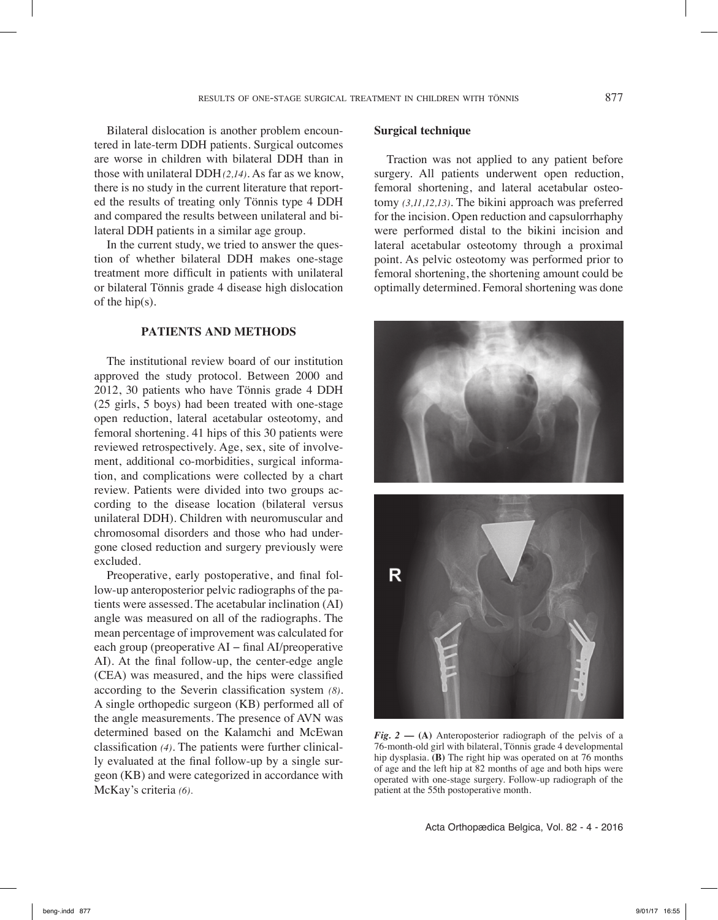Bilateral dislocation is another problem encountered in late-term DDH patients. Surgical outcomes are worse in children with bilateral DDH than in those with unilateral DDH*(2,14)*. As far as we know, there is no study in the current literature that reported the results of treating only Tönnis type 4 DDH and compared the results between unilateral and bilateral DDH patients in a similar age group.

In the current study, we tried to answer the question of whether bilateral DDH makes one-stage treatment more difficult in patients with unilateral or bilateral Tönnis grade 4 disease high dislocation of the hip(s).

# **Patients and methods**

The institutional review board of our institution approved the study protocol. Between 2000 and 2012, 30 patients who have Tönnis grade 4 DDH (25 girls, 5 boys) had been treated with one-stage open reduction, lateral acetabular osteotomy, and femoral shortening. 41 hips of this 30 patients were reviewed retrospectively. Age, sex, site of involvement, additional co-morbidities, surgical information, and complications were collected by a chart review. Patients were divided into two groups according to the disease location (bilateral versus unilateral DDH). Children with neuromuscular and chromosomal disorders and those who had undergone closed reduction and surgery previously were excluded.

Preoperative, early postoperative, and final follow-up anteroposterior pelvic radiographs of the patients were assessed. The acetabular inclination (AI) angle was measured on all of the radiographs. The mean percentage of improvement was calculated for each group (preoperative AI − final AI/preoperative AI). At the final follow-up, the center-edge angle (CEA) was measured, and the hips were classified according to the Severin classification system *(8)*. A single orthopedic surgeon (KB) performed all of the angle measurements. The presence of AVN was determined based on the Kalamchi and McEwan classification *(4)*. The patients were further clinically evaluated at the final follow-up by a single surgeon (KB) and were categorized in accordance with McKay's criteria *(6).*

# **Surgical technique**

Traction was not applied to any patient before surgery. All patients underwent open reduction, femoral shortening, and lateral acetabular osteotomy *(3,11,12,13)*. The bikini approach was preferred for the incision. Open reduction and capsulorrhaphy were performed distal to the bikini incision and lateral acetabular osteotomy through a proximal point. As pelvic osteotomy was performed prior to femoral shortening, the shortening amount could be optimally determined. Femoral shortening was done





*Fig.*  $2 - (A)$  Anteroposterior radiograph of the pelvis of a 76-month-old girl with bilateral, Tönnis grade 4 developmental hip dysplasia. **(B)** The right hip was operated on at 76 months of age and the left hip at 82 months of age and both hips were operated with one-stage surgery. Follow-up radiograph of the patient at the 55th postoperative month.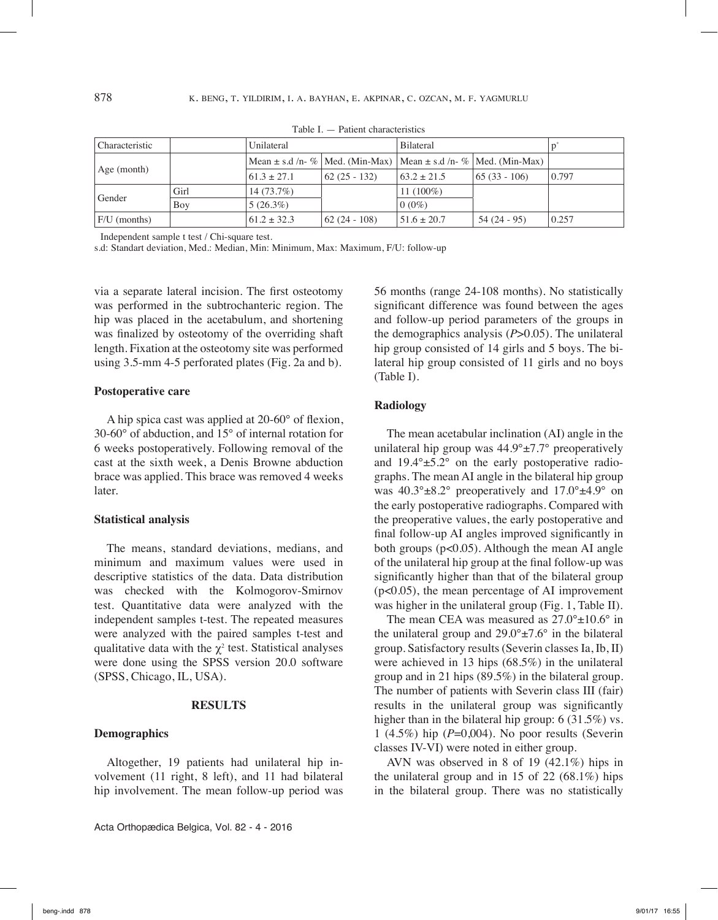| Characteristic           |      | Unilateral      |                                                                               | <b>Bilateral</b> |               |       |
|--------------------------|------|-----------------|-------------------------------------------------------------------------------|------------------|---------------|-------|
|                          |      |                 | Mean $\pm$ s.d /n- %   Med. (Min-Max)   Mean $\pm$ s.d /n- %   Med. (Min-Max) |                  |               |       |
| Age (month)              |      | $61.3 \pm 27.1$ | 62 (25 - 132)                                                                 | $63.2 \pm 21.5$  | 65 (33 - 106) | 0.797 |
| Gender                   | Girl | 14 (73.7%)      |                                                                               | 11 $(100\%)$     |               |       |
|                          | Boy  | $5(26.3\%)$     |                                                                               | $0(0\%)$         |               |       |
| $ F/U \text{ (months)} $ |      | $61.2 \pm 32.3$ | $\vert 62 \, (24 - 108) \vert$                                                | $51.6 \pm 20.7$  | $54(24-95)$   | 0.257 |

Table I. — Patient characteristics

Independent sample t test / Chi-square test.

s.d: Standart deviation, Med.: Median, Min: Minimum, Max: Maximum, F/U: follow-up

via a separate lateral incision. The first osteotomy was performed in the subtrochanteric region. The hip was placed in the acetabulum, and shortening was finalized by osteotomy of the overriding shaft length. Fixation at the osteotomy site was performed using 3.5-mm 4-5 perforated plates (Fig. 2a and b).

#### **Postoperative care**

A hip spica cast was applied at 20-60° of flexion, 30-60° of abduction, and 15° of internal rotation for 6 weeks postoperatively. Following removal of the cast at the sixth week, a Denis Browne abduction brace was applied. This brace was removed 4 weeks later.

#### **Statistical analysis**

The means, standard deviations, medians, and minimum and maximum values were used in descriptive statistics of the data. Data distribution was checked with the Kolmogorov-Smirnov test. Quantitative data were analyzed with the independent samples t-test. The repeated measures were analyzed with the paired samples t-test and qualitative data with the  $\chi^2$  test. Statistical analyses were done using the SPSS version 20.0 software (SPSS, Chicago, IL, USA).

## **Results**

#### **Demographics**

Altogether, 19 patients had unilateral hip involvement (11 right, 8 left), and 11 had bilateral hip involvement. The mean follow-up period was

Acta Orthopædica Belgica, Vol. 82 - 4 - 2016

56 months (range 24-108 months). No statistically significant difference was found between the ages and follow-up period parameters of the groups in the demographics analysis (*P*>0.05). The unilateral hip group consisted of 14 girls and 5 boys. The bilateral hip group consisted of 11 girls and no boys (Table I).

### **Radiology**

The mean acetabular inclination (AI) angle in the unilateral hip group was  $44.9^{\circ} \pm 7.7^{\circ}$  preoperatively and  $19.4^{\circ} \pm 5.2^{\circ}$  on the early postoperative radiographs. The mean AI angle in the bilateral hip group was  $40.3^{\circ} \pm 8.2^{\circ}$  preoperatively and  $17.0^{\circ} \pm 4.9^{\circ}$  on the early postoperative radiographs. Compared with the preoperative values, the early postoperative and final follow-up AI angles improved significantly in both groups (p<0.05). Although the mean AI angle of the unilateral hip group at the final follow-up was significantly higher than that of the bilateral group (p<0.05), the mean percentage of AI improvement was higher in the unilateral group (Fig. 1, Table II).

The mean CEA was measured as  $27.0^{\circ} \pm 10.6^{\circ}$  in the unilateral group and  $29.0^{\circ} \pm 7.6^{\circ}$  in the bilateral group. Satisfactory results (Severin classes Ia, Ib, II) were achieved in 13 hips (68.5%) in the unilateral group and in 21 hips (89.5%) in the bilateral group. The number of patients with Severin class III (fair) results in the unilateral group was significantly higher than in the bilateral hip group: 6 (31.5%) vs. 1 (4.5%) hip (*P*=0,004). No poor results (Severin classes IV-VI) were noted in either group.

AVN was observed in 8 of 19 (42.1%) hips in the unilateral group and in 15 of 22  $(68.1\%)$  hips in the bilateral group. There was no statistically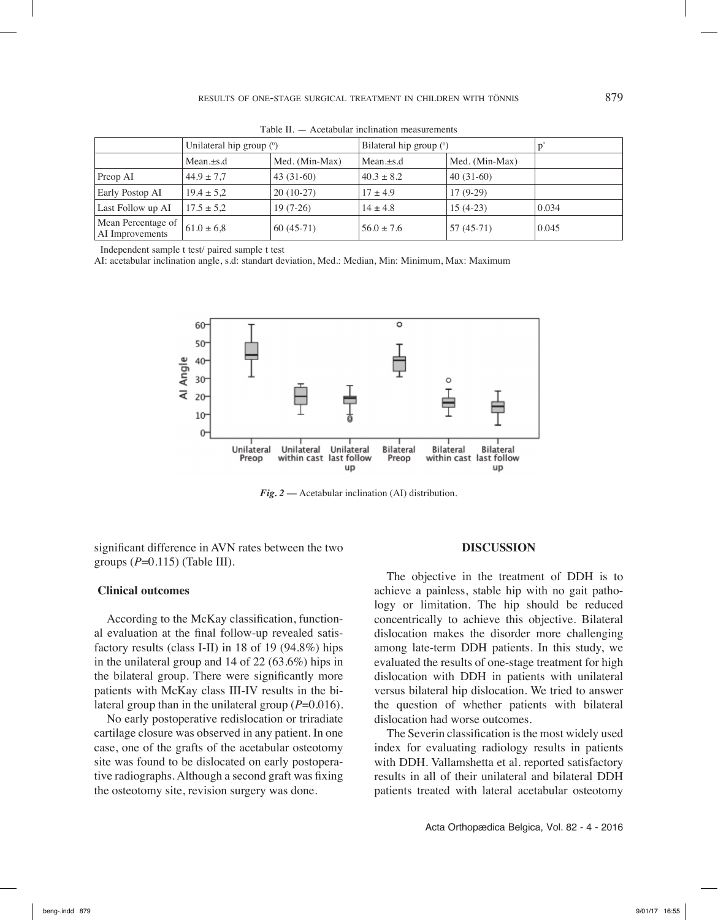|                                       | Unilateral hip group $(°)$ |                | Bilateral hip group $(°)$ |                |       |
|---------------------------------------|----------------------------|----------------|---------------------------|----------------|-------|
|                                       | $Mean.+s.d$                | Med. (Min-Max) | $Mean.+s.d$               | Med. (Min-Max) |       |
| Preop AI                              | $44.9 \pm 7.7$             | $43(31-60)$    | $40.3 \pm 8.2$            | $40(31-60)$    |       |
| <b>Early Postop AI</b>                | $19.4 \pm 5.2$             | $20(10-27)$    | $17 \pm 4.9$              | $17(9-29)$     |       |
| Last Follow up AI                     | $17.5 \pm 5.2$             | $19(7-26)$     | $14 \pm 4.8$              | $15(4-23)$     | 0.034 |
| Mean Percentage of<br>AI Improvements | $61.0 \pm 6.8$             | $60(45-71)$    | $56.0 \pm 7.6$            | $57(45-71)$    | 0.045 |

Table II. — Acetabular inclination measurements

Independent sample t test/ paired sample t test

AI: acetabular inclination angle, s.d: standart deviation, Med.: Median, Min: Minimum, Max: Maximum



*Fig. 2* **—** Acetabular inclination (AI) distribution.

significant difference in AVN rates between the two groups (*P*=0.115) (Table III).

#### **Clinical outcomes**

According to the McKay classification, functional evaluation at the final follow-up revealed satisfactory results (class I-II) in 18 of 19 (94.8%) hips in the unilateral group and 14 of 22 (63.6%) hips in the bilateral group. There were significantly more patients with McKay class III-IV results in the bilateral group than in the unilateral group  $(P=0.016)$ .

No early postoperative redislocation or triradiate cartilage closure was observed in any patient. In one case, one of the grafts of the acetabular osteotomy site was found to be dislocated on early postoperative radiographs. Although a second graft was fixing the osteotomy site, revision surgery was done.

#### **Discussion**

The objective in the treatment of DDH is to achieve a painless, stable hip with no gait pathology or limitation. The hip should be reduced concentrically to achieve this objective. Bilateral dislocation makes the disorder more challenging among late-term DDH patients. In this study, we evaluated the results of one-stage treatment for high dislocation with DDH in patients with unilateral versus bilateral hip dislocation. We tried to answer the question of whether patients with bilateral dislocation had worse outcomes.

The Severin classification is the most widely used index for evaluating radiology results in patients with DDH. Vallamshetta et al. reported satisfactory results in all of their unilateral and bilateral DDH patients treated with lateral acetabular osteotomy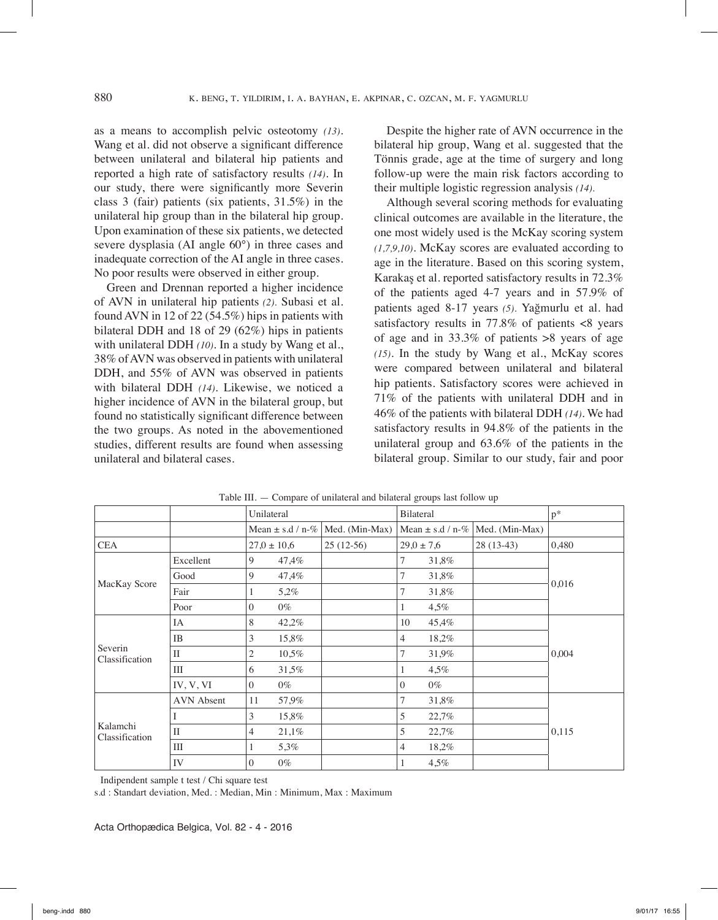as a means to accomplish pelvic osteotomy *(13)*. Wang et al. did not observe a significant difference between unilateral and bilateral hip patients and reported a high rate of satisfactory results *(14)*. In our study, there were significantly more Severin class 3 (fair) patients (six patients, 31.5%) in the unilateral hip group than in the bilateral hip group. Upon examination of these six patients, we detected severe dysplasia (AI angle 60°) in three cases and inadequate correction of the AI angle in three cases. No poor results were observed in either group.

Green and Drennan reported a higher incidence of AVN in unilateral hip patients *(2).* Subasi et al. found AVN in 12 of 22 (54.5%) hips in patients with bilateral DDH and 18 of 29 (62%) hips in patients with unilateral DDH *(10)*. In a study by Wang et al., 38% of AVN was observed in patients with unilateral DDH, and 55% of AVN was observed in patients with bilateral DDH *(14)*. Likewise, we noticed a higher incidence of AVN in the bilateral group, but found no statistically significant difference between the two groups. As noted in the abovementioned studies, different results are found when assessing unilateral and bilateral cases.

Despite the higher rate of AVN occurrence in the bilateral hip group, Wang et al. suggested that the Tönnis grade, age at the time of surgery and long follow-up were the main risk factors according to their multiple logistic regression analysis *(14).*

Although several scoring methods for evaluating clinical outcomes are available in the literature, the one most widely used is the McKay scoring system *(1,7,9,10)*. McKay scores are evaluated according to age in the literature. Based on this scoring system, Karakaş et al. reported satisfactory results in 72.3% of the patients aged 4-7 years and in 57.9% of patients aged 8-17 years *(5).* Yağmurlu et al. had satisfactory results in 77.8% of patients <8 years of age and in 33.3% of patients >8 years of age *(15)*. In the study by Wang et al., McKay scores were compared between unilateral and bilateral hip patients. Satisfactory scores were achieved in 71% of the patients with unilateral DDH and in 46% of the patients with bilateral DDH *(14)*. We had satisfactory results in 94.8% of the patients in the unilateral group and 63.6% of the patients in the bilateral group. Similar to our study, fair and poor

|                            |                   | Unilateral           |       |                | Bilateral            |         |                | $p^*$ |
|----------------------------|-------------------|----------------------|-------|----------------|----------------------|---------|----------------|-------|
|                            |                   | Mean $\pm$ s.d / n-% |       | Med. (Min-Max) | Mean $\pm$ s.d / n-% |         | Med. (Min-Max) |       |
| <b>CEA</b>                 |                   | $27.0 \pm 10.6$      |       | $25(12-56)$    | $29.0 \pm 7.6$       |         | $28(13-43)$    | 0,480 |
| MacKay Score               | Excellent         | 9                    | 47,4% |                | 7                    | 31,8%   |                | 0,016 |
|                            | Good              | 9                    | 47,4% |                |                      | 31,8%   |                |       |
|                            | Fair              | 1                    | 5,2%  |                | 7                    | 31,8%   |                |       |
|                            | Poor              | $\overline{0}$       | $0\%$ |                | 1                    | 4,5%    |                |       |
| Severin<br>Classification  | IA                | 8                    | 42,2% |                | 10                   | 45,4%   |                | 0,004 |
|                            | <b>IB</b>         | 3                    | 15,8% |                | 4                    | 18,2%   |                |       |
|                            | $\mathbf{I}$      | 2                    | 10,5% |                |                      | 31,9%   |                |       |
|                            | III               | 6                    | 31,5% |                |                      | $4.5\%$ |                |       |
|                            | IV, V, VI         | $\overline{0}$       | $0\%$ |                | $\Omega$             | $0\%$   |                |       |
| Kalamchi<br>Classification | <b>AVN</b> Absent | 11                   | 57,9% |                | 7                    | 31,8%   |                | 0,115 |
|                            |                   | 3                    | 15,8% |                | $\overline{5}$       | 22,7%   |                |       |
|                            | $\mathbf{I}$      | 4                    | 21,1% |                | 5                    | 22,7%   |                |       |
|                            | Ш                 | 1                    | 5,3%  |                | 4                    | 18,2%   |                |       |
|                            | IV                | $\Omega$             | $0\%$ |                |                      | 4,5%    |                |       |

Table III. — Compare of unilateral and bilateral groups last follow up

Indipendent sample t test / Chi square test

s.d : Standart deviation, Med. : Median, Min : Minimum, Max : Maximum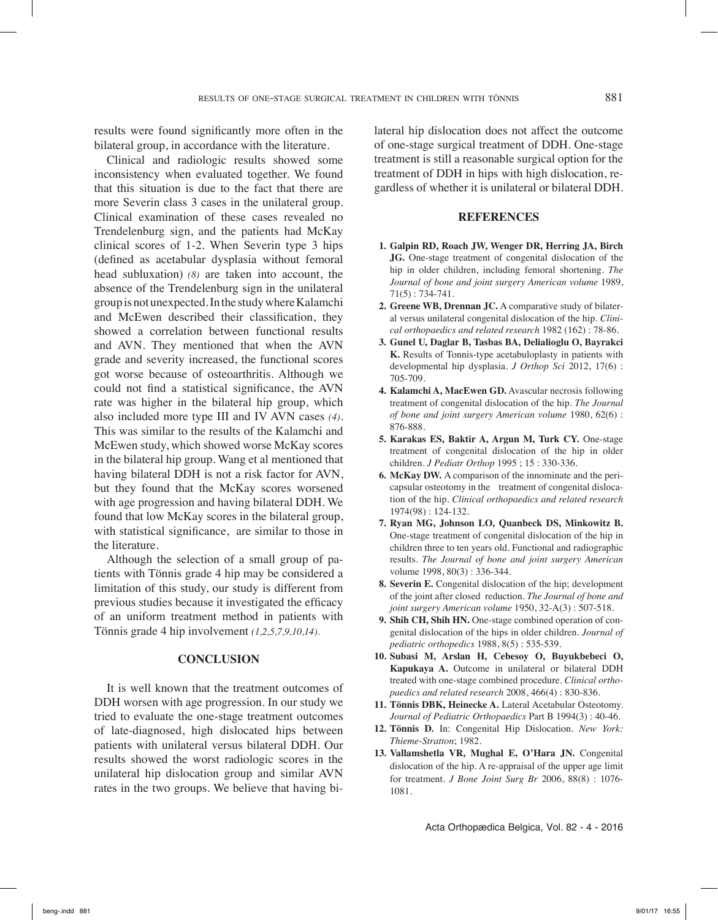results were found significantly more often in the bilateral group, in accordance with the literature.

Clinical and radiologic results showed some inconsistency when evaluated together. We found that this situation is due to the fact that there are more Severin class 3 cases in the unilateral group. Clinical examination of these cases revealed no Trendelenburg sign, and the patients had McKay clinical scores of 1-2. When Severin type 3 hips (defined as acetabular dysplasia without femoral head subluxation) *(8)* are taken into account, the absence of the Trendelenburg sign in the unilateral group is not unexpected. In the study where Kalamchi and McEwen described their classification, they showed a correlation between functional results and AVN. They mentioned that when the AVN grade and severity increased, the functional scores got worse because of osteoarthritis. Although we could not find a statistical significance, the AVN rate was higher in the bilateral hip group, which also included more type III and IV AVN cases *(4)*. This was similar to the results of the Kalamchi and McEwen study, which showed worse McKay scores in the bilateral hip group. Wang et al mentioned that having bilateral DDH is not a risk factor for AVN, but they found that the McKay scores worsened with age progression and having bilateral DDH. We found that low McKay scores in the bilateral group, with statistical significance, are similar to those in the literature.

Although the selection of a small group of patients with Tönnis grade 4 hip may be considered a limitation of this study, our study is different from previous studies because it investigated the efficacy of an uniform treatment method in patients with Tönnis grade 4 hip involvement *(1,2,5,7,9,10,14).*

## **Conclusion**

It is well known that the treatment outcomes of DDH worsen with age progression. In our study we tried to evaluate the one-stage treatment outcomes of late-diagnosed, high dislocated hips between patients with unilateral versus bilateral DDH. Our results showed the worst radiologic scores in the unilateral hip dislocation group and similar AVN rates in the two groups. We believe that having bilateral hip dislocation does not affect the outcome of one-stage surgical treatment of DDH. One-stage treatment is still a reasonable surgical option for the treatment of DDH in hips with high dislocation, regardless of whether it is unilateral or bilateral DDH.

#### **References**

- **1. Galpin RD, Roach JW, Wenger DR, Herring JA, Birch JG.** One-stage treatment of congenital dislocation of the hip in older children, including femoral shortening. *The Journal of bone and joint surgery American volume* 1989, 71(5) : 734-741.
- **2. Greene WB, Drennan JC.** A comparative study of bilateral versus unilateral congenital dislocation of the hip. *Clinical orthopaedics and related research* 1982 (162) : 78-86.
- **3. Gunel U, Daglar B, Tasbas BA, Delialioglu O, Bayrakci K.** Results of Tonnis-type acetabuloplasty in patients with developmental hip dysplasia. *J Orthop Sci* 2012, 17(6) : 705-709.
- **4. Kalamchi A, MacEwen GD.** Avascular necrosis following treatment of congenital dislocation of the hip. *The Journal of bone and joint surgery American volume* 1980, 62(6) : 876-888.
- **5. Karakas ES, Baktir A, Argun M, Turk CY.** One-stage treatment of congenital dislocation of the hip in older children. *J Pediatr Orthop* 1995 ; 15 : 330-336.
- **6. McKay DW.** A comparison of the innominate and the pericapsular osteotomy in the treatment of congenital dislocation of the hip. *Clinical orthopaedics and related research*  1974(98) : 124-132.
- **7. Ryan MG, Johnson LO, Quanbeck DS, Minkowitz B.** One-stage treatment of congenital dislocation of the hip in children three to ten years old. Functional and radiographic results. *The Journal of bone and joint surgery American*  volume 1998, 80(3) : 336-344.
- **8. Severin E.** Congenital dislocation of the hip; development of the joint after closed reduction. *The Journal of bone and joint surgery American volume* 1950, 32-A(3) : 507-518.
- **9. Shih CH, Shih HN.** One-stage combined operation of congenital dislocation of the hips in older children. *Journal of pediatric orthopedics* 1988, 8(5) : 535-539.
- **10. Subasi M, Arslan H, Cebesoy O, Buyukbebeci O, Kapukaya A.** Outcome in unilateral or bilateral DDH treated with one-stage combined procedure. *Clinical orthopaedics and related research* 2008, 466(4) : 830-836.
- **11. Tönnis DBK, Heinecke A.** Lateral Acetabular Osteotomy. *Journal of Pediatric Orthopaedics* Part B 1994(3) : 40-46.
- **12. Tönnis D.** In: Congenital Hip Dislocation. *New York: Thieme-Stratton*; 1982.
- **13. Vallamshetla VR, Mughal E, O'Hara JN.** Congenital dislocation of the hip. A re-appraisal of the upper age limit for treatment. *J Bone Joint Surg Br* 2006, 88(8) : 1076- 1081.